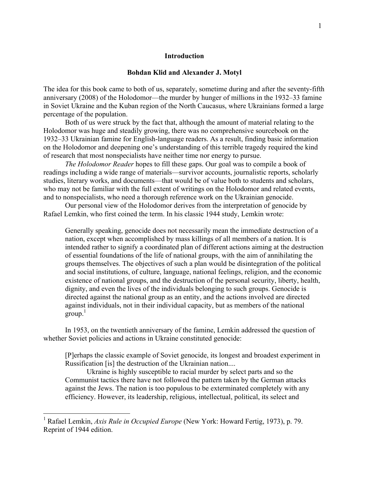### **Introduction**

### **Bohdan Klid and Alexander J. Motyl**

The idea for this book came to both of us, separately, sometime during and after the seventy-fifth anniversary (2008) of the Holodomor—the murder by hunger of millions in the 1932–33 famine in Soviet Ukraine and the Kuban region of the North Caucasus, where Ukrainians formed a large percentage of the population.

Both of us were struck by the fact that, although the amount of material relating to the Holodomor was huge and steadily growing, there was no comprehensive sourcebook on the 1932–33 Ukrainian famine for English-language readers. As a result, finding basic information on the Holodomor and deepening one's understanding of this terrible tragedy required the kind of research that most nonspecialists have neither time nor energy to pursue.

*The Holodomor Reader* hopes to fill these gaps. Our goal was to compile a book of readings including a wide range of materials—survivor accounts, journalistic reports, scholarly studies, literary works, and documents—that would be of value both to students and scholars, who may not be familiar with the full extent of writings on the Holodomor and related events, and to nonspecialists, who need a thorough reference work on the Ukrainian genocide.

Our personal view of the Holodomor derives from the interpretation of genocide by Rafael Lemkin, who first coined the term. In his classic 1944 study, Lemkin wrote:

Generally speaking, genocide does not necessarily mean the immediate destruction of a nation, except when accomplished by mass killings of all members of a nation. It is intended rather to signify a coordinated plan of different actions aiming at the destruction of essential foundations of the life of national groups, with the aim of annihilating the groups themselves. The objectives of such a plan would be disintegration of the political and social institutions, of culture, language, national feelings, religion, and the economic existence of national groups, and the destruction of the personal security, liberty, health, dignity, and even the lives of the individuals belonging to such groups. Genocide is directed against the national group as an entity, and the actions involved are directed against individuals, not in their individual capacity, but as members of the national  $\text{group}^1$ 

In 1953, on the twentieth anniversary of the famine, Lemkin addressed the question of whether Soviet policies and actions in Ukraine constituted genocide:

[P]erhaps the classic example of Soviet genocide, its longest and broadest experiment in Russification [is] the destruction of the Ukrainian nation....

Ukraine is highly susceptible to racial murder by select parts and so the Communist tactics there have not followed the pattern taken by the German attacks against the Jews. The nation is too populous to be exterminated completely with any efficiency. However, its leadership, religious, intellectual, political, its select and

<sup>1</sup> Rafael Lemkin, *Axis Rule in Occupied Europe* (New York: Howard Fertig, 1973), p. 79. Reprint of 1944 edition.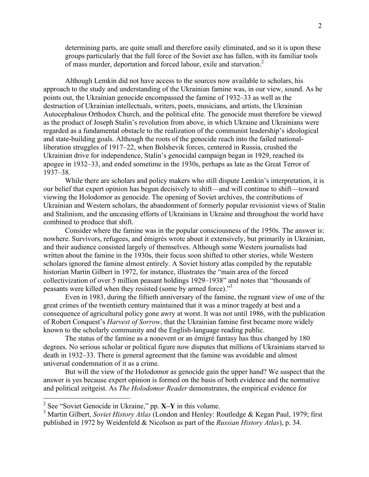determining parts, are quite small and therefore easily eliminated, and so it is upon these groups particularly that the full force of the Soviet axe has fallen, with its familiar tools of mass murder, deportation and forced labour, exile and starvation.<sup>2</sup>

Although Lemkin did not have access to the sources now available to scholars, his approach to the study and understanding of the Ukrainian famine was, in our view, sound. As he points out, the Ukrainian genocide encompassed the famine of 1932–33 as well as the destruction of Ukrainian intellectuals, writers, poets, musicians, and artists, the Ukrainian Autocephalous Orthodox Church, and the political elite. The genocide must therefore be viewed as the product of Joseph Stalin's revolution from above, in which Ukraine and Ukrainians were regarded as a fundamental obstacle to the realization of the communist leadership's ideological and state-building goals. Although the roots of the genocide reach into the failed nationalliberation struggles of 1917–22, when Bolshevik forces, centered in Russia, crushed the Ukrainian drive for independence, Stalin's genocidal campaign began in 1929, reached its apogee in 1932–33, and ended sometime in the 1930s, perhaps as late as the Great Terror of 1937–38.

While there are scholars and policy makers who still dispute Lemkin's interpretation, it is our belief that expert opinion has begun decisively to shift—and will continue to shift—toward viewing the Holodomor as genocide. The opening of Soviet archives, the contributions of Ukrainian and Western scholars, the abandonment of formerly popular revisionist views of Stalin and Stalinism, and the unceasing efforts of Ukrainians in Ukraine and throughout the world have combined to produce that shift.

Consider where the famine was in the popular consciousness of the 1950s. The answer is: nowhere. Survivors, refugees, and émigrés wrote about it extensively, but primarily in Ukrainian, and their audience consisted largely of themselves. Although some Western journalists had written about the famine in the 1930s, their focus soon shifted to other stories, while Western scholars ignored the famine almost entirely. A Soviet history atlas compiled by the reputable historian Martin Gilbert in 1972, for instance, illustrates the "main area of the forced collectivization of over 5 million peasant holdings 1929–1938" and notes that "thousands of peasants were killed when they resisted (some by armed force)."3

Even in 1983, during the fiftieth anniversary of the famine, the regnant view of one of the great crimes of the twentieth century maintained that it was a minor tragedy at best and a consequence of agricultural policy gone awry at worst. It was not until 1986, with the publication of Robert Conquest's *Harvest of Sorrow*, that the Ukrainian famine first became more widely known to the scholarly community and the English-language reading public.

The status of the famine as a nonevent or an émigré fantasy has thus changed by 180 degrees. No serious scholar or political figure now disputes that millions of Ukrainians starved to death in 1932–33. There is general agreement that the famine was avoidable and almost universal condemnation of it as a crime.

But will the view of the Holodomor as genocide gain the upper hand? We suspect that the answer is yes because expert opinion is formed on the basis of both evidence and the normative and political zeitgeist. As *The Holodomor Reader* demonstrates, the empirical evidence for

<sup>&</sup>lt;sup>2</sup> See "Soviet Genocide in Ukraine," pp. **X–Y** in this volume.<br><sup>3</sup> Martin Gilbert, *Soviet History Atlas* (London and Henley: Routledge & Kegan Paul, 1979; first published in 1972 by Weidenfeld & Nicolson as part of the *Russian History Atlas*), p. 34.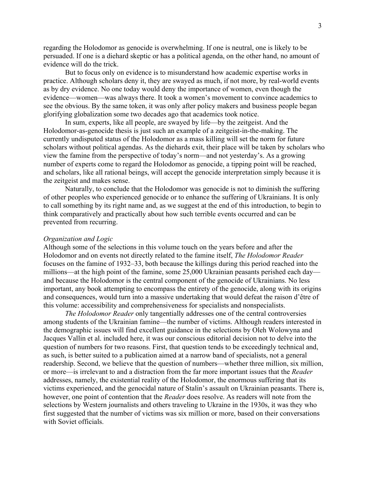regarding the Holodomor as genocide is overwhelming. If one is neutral, one is likely to be persuaded. If one is a diehard skeptic or has a political agenda, on the other hand, no amount of evidence will do the trick.

But to focus only on evidence is to misunderstand how academic expertise works in practice. Although scholars deny it, they are swayed as much, if not more, by real-world events as by dry evidence. No one today would deny the importance of women, even though the evidence—women—was always there. It took a women's movement to convince academics to see the obvious. By the same token, it was only after policy makers and business people began glorifying globalization some two decades ago that academics took notice.

In sum, experts, like all people, are swayed by life—by the zeitgeist. And the Holodomor-as-genocide thesis is just such an example of a zeitgeist-in-the-making. The currently undisputed status of the Holodomor as a mass killing will set the norm for future scholars without political agendas. As the diehards exit, their place will be taken by scholars who view the famine from the perspective of today's norm—and not yesterday's. As a growing number of experts come to regard the Holodomor as genocide, a tipping point will be reached, and scholars, like all rational beings, will accept the genocide interpretation simply because it is the zeitgeist and makes sense.

Naturally, to conclude that the Holodomor was genocide is not to diminish the suffering of other peoples who experienced genocide or to enhance the suffering of Ukrainians. It is only to call something by its right name and, as we suggest at the end of this introduction, to begin to think comparatively and practically about how such terrible events occurred and can be prevented from recurring.

#### *Organization and Logic*

Although some of the selections in this volume touch on the years before and after the Holodomor and on events not directly related to the famine itself, *The Holodomor Reader* focuses on the famine of 1932–33, both because the killings during this period reached into the millions—at the high point of the famine, some 25,000 Ukrainian peasants perished each day and because the Holodomor is the central component of the genocide of Ukrainians. No less important, any book attempting to encompass the entirety of the genocide, along with its origins and consequences, would turn into a massive undertaking that would defeat the raison d'être of this volume: accessibility and comprehensiveness for specialists and nonspecialists.

*The Holodomor Reader* only tangentially addresses one of the central controversies among students of the Ukrainian famine—the number of victims. Although readers interested in the demographic issues will find excellent guidance in the selections by Oleh Wolowyna and Jacques Vallin et al. included here, it was our conscious editorial decision not to delve into the question of numbers for two reasons. First, that question tends to be exceedingly technical and, as such, is better suited to a publication aimed at a narrow band of specialists, not a general readership. Second, we believe that the question of numbers—whether three million, six million, or more—is irrelevant to and a distraction from the far more important issues that the *Reader* addresses, namely, the existential reality of the Holodomor, the enormous suffering that its victims experienced, and the genocidal nature of Stalin's assault on Ukrainian peasants. There is, however, one point of contention that the *Reader* does resolve. As readers will note from the selections by Western journalists and others traveling to Ukraine in the 1930s, it was they who first suggested that the number of victims was six million or more, based on their conversations with Soviet officials.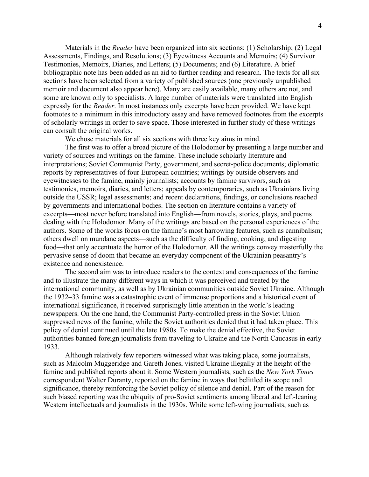Materials in the *Reader* have been organized into six sections: (1) Scholarship; (2) Legal Assessments, Findings, and Resolutions; (3) Eyewitness Accounts and Memoirs; (4) Survivor Testimonies, Memoirs, Diaries, and Letters; (5) Documents; and (6) Literature. A brief bibliographic note has been added as an aid to further reading and research. The texts for all six sections have been selected from a variety of published sources (one previously unpublished memoir and document also appear here). Many are easily available, many others are not, and some are known only to specialists. A large number of materials were translated into English expressly for the *Reader*. In most instances only excerpts have been provided. We have kept footnotes to a minimum in this introductory essay and have removed footnotes from the excerpts of scholarly writings in order to save space. Those interested in further study of these writings can consult the original works.

We chose materials for all six sections with three key aims in mind.

The first was to offer a broad picture of the Holodomor by presenting a large number and variety of sources and writings on the famine. These include scholarly literature and interpretations; Soviet Communist Party, government, and secret-police documents; diplomatic reports by representatives of four European countries; writings by outside observers and eyewitnesses to the famine, mainly journalists; accounts by famine survivors, such as testimonies, memoirs, diaries, and letters; appeals by contemporaries, such as Ukrainians living outside the USSR; legal assessments; and recent declarations, findings, or conclusions reached by governments and international bodies. The section on literature contains a variety of excerpts—most never before translated into English—from novels, stories, plays, and poems dealing with the Holodomor. Many of the writings are based on the personal experiences of the authors. Some of the works focus on the famine's most harrowing features, such as cannibalism; others dwell on mundane aspects—such as the difficulty of finding, cooking, and digesting food—that only accentuate the horror of the Holodomor. All the writings convey masterfully the pervasive sense of doom that became an everyday component of the Ukrainian peasantry's existence and nonexistence.

The second aim was to introduce readers to the context and consequences of the famine and to illustrate the many different ways in which it was perceived and treated by the international community, as well as by Ukrainian communities outside Soviet Ukraine. Although the 1932–33 famine was a catastrophic event of immense proportions and a historical event of international significance, it received surprisingly little attention in the world's leading newspapers. On the one hand, the Communist Party-controlled press in the Soviet Union suppressed news of the famine, while the Soviet authorities denied that it had taken place. This policy of denial continued until the late 1980s. To make the denial effective, the Soviet authorities banned foreign journalists from traveling to Ukraine and the North Caucasus in early 1933.

Although relatively few reporters witnessed what was taking place, some journalists, such as Malcolm Muggeridge and Gareth Jones, visited Ukraine illegally at the height of the famine and published reports about it. Some Western journalists, such as the *New York Times* correspondent Walter Duranty, reported on the famine in ways that belittled its scope and significance, thereby reinforcing the Soviet policy of silence and denial. Part of the reason for such biased reporting was the ubiquity of pro-Soviet sentiments among liberal and left-leaning Western intellectuals and journalists in the 1930s. While some left-wing journalists, such as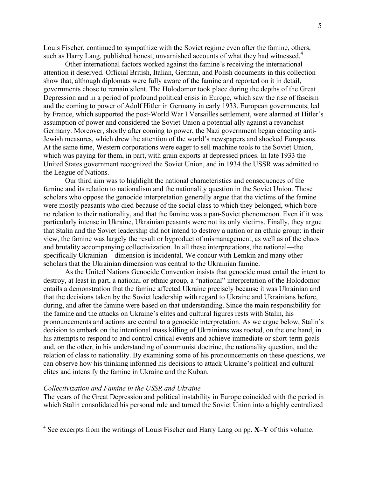Louis Fischer, continued to sympathize with the Soviet regime even after the famine, others, such as Harry Lang, published honest, unvarnished accounts of what they had witnessed.<sup>4</sup>

Other international factors worked against the famine's receiving the international attention it deserved. Official British, Italian, German, and Polish documents in this collection show that, although diplomats were fully aware of the famine and reported on it in detail, governments chose to remain silent. The Holodomor took place during the depths of the Great Depression and in a period of profound political crisis in Europe, which saw the rise of fascism and the coming to power of Adolf Hitler in Germany in early 1933. European governments, led by France, which supported the post-World War I Versailles settlement, were alarmed at Hitler's assumption of power and considered the Soviet Union a potential ally against a revanchist Germany. Moreover, shortly after coming to power, the Nazi government began enacting anti-Jewish measures, which drew the attention of the world's newspapers and shocked Europeans. At the same time, Western corporations were eager to sell machine tools to the Soviet Union, which was paying for them, in part, with grain exports at depressed prices. In late 1933 the United States government recognized the Soviet Union, and in 1934 the USSR was admitted to the League of Nations.

Our third aim was to highlight the national characteristics and consequences of the famine and its relation to nationalism and the nationality question in the Soviet Union. Those scholars who oppose the genocide interpretation generally argue that the victims of the famine were mostly peasants who died because of the social class to which they belonged, which bore no relation to their nationality, and that the famine was a pan-Soviet phenomenon. Even if it was particularly intense in Ukraine, Ukrainian peasants were not its only victims. Finally, they argue that Stalin and the Soviet leadership did not intend to destroy a nation or an ethnic group: in their view, the famine was largely the result or byproduct of mismanagement, as well as of the chaos and brutality accompanying collectivization. In all these interpretations, the national—the specifically Ukrainian—dimension is incidental. We concur with Lemkin and many other scholars that the Ukrainian dimension was central to the Ukrainian famine.

As the United Nations Genocide Convention insists that genocide must entail the intent to destroy, at least in part, a national or ethnic group, a "national" interpretation of the Holodomor entails a demonstration that the famine affected Ukraine precisely because it was Ukrainian and that the decisions taken by the Soviet leadership with regard to Ukraine and Ukrainians before, during, and after the famine were based on that understanding. Since the main responsibility for the famine and the attacks on Ukraine's elites and cultural figures rests with Stalin, his pronouncements and actions are central to a genocide interpretation. As we argue below, Stalin's decision to embark on the intentional mass killing of Ukrainians was rooted, on the one hand, in his attempts to respond to and control critical events and achieve immediate or short-term goals and, on the other, in his understanding of communist doctrine, the nationality question, and the relation of class to nationality. By examining some of his pronouncements on these questions, we can observe how his thinking informed his decisions to attack Ukraine's political and cultural elites and intensify the famine in Ukraine and the Kuban.

#### *Collectivization and Famine in the USSR and Ukraine*

The years of the Great Depression and political instability in Europe coincided with the period in which Stalin consolidated his personal rule and turned the Soviet Union into a highly centralized

<sup>4</sup> See excerpts from the writings of Louis Fischer and Harry Lang on pp. **X–Y** of this volume.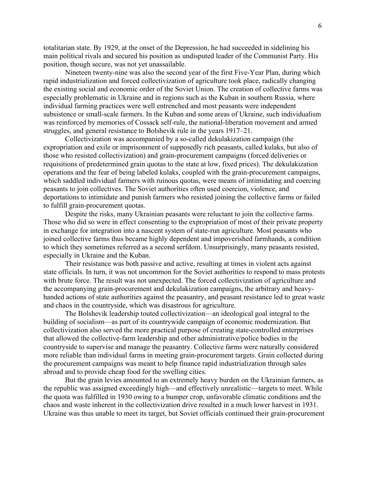totalitarian state. By 1929, at the onset of the Depression, he had succeeded in sidelining his main political rivals and secured his position as undisputed leader of the Communist Party. His position, though secure, was not yet unassailable.

Nineteen twenty-nine was also the second year of the first Five-Year Plan, during which rapid industrialization and forced collectivization of agriculture took place, radically changing the existing social and economic order of the Soviet Union. The creation of collective farms was especially problematic in Ukraine and in regions such as the Kuban in southern Russia, where individual farming practices were well entrenched and most peasants were independent subsistence or small-scale farmers. In the Kuban and some areas of Ukraine, such individualism was reinforced by memories of Cossack self-rule, the national-liberation movement and armed struggles, and general resistance to Bolshevik rule in the years 1917–21.

Collectivization was accompanied by a so-called dekulakization campaign (the expropriation and exile or imprisonment of supposedly rich peasants, called kulaks, but also of those who resisted collectivization) and grain-procurement campaigns (forced deliveries or requisitions of predetermined grain quotas to the state at low, fixed prices). The dekulakization operations and the fear of being labeled kulaks, coupled with the grain-procurement campaigns, which saddled individual farmers with ruinous quotas, were means of intimidating and coercing peasants to join collectives. The Soviet authorities often used coercion, violence, and deportations to intimidate and punish farmers who resisted joining the collective farms or failed to fulfill grain-procurement quotas.

Despite the risks, many Ukrainian peasants were reluctant to join the collective farms. Those who did so were in effect consenting to the expropriation of most of their private property in exchange for integration into a nascent system of state-run agriculture. Most peasants who joined collective farms thus became highly dependent and impoverished farmhands, a condition to which they sometimes referred as a second serfdom. Unsurprisingly, many peasants resisted, especially in Ukraine and the Kuban.

Their resistance was both passive and active, resulting at times in violent acts against state officials. In turn, it was not uncommon for the Soviet authorities to respond to mass protests with brute force. The result was not unexpected. The forced collectivization of agriculture and the accompanying grain-procurement and dekulakization campaigns, the arbitrary and heavyhanded actions of state authorities against the peasantry, and peasant resistance led to great waste and chaos in the countryside, which was disastrous for agriculture.

The Bolshevik leadership touted collectivization—an ideological goal integral to the building of socialism—as part of its countrywide campaign of economic modernization. But collectivization also served the more practical purpose of creating state-controlled enterprises that allowed the collective-farm leadership and other administrative/police bodies in the countryside to supervise and manage the peasantry. Collective farms were naturally considered more reliable than individual farms in meeting grain-procurement targets. Grain collected during the procurement campaigns was meant to help finance rapid industrialization through sales abroad and to provide cheap food for the swelling cities.

But the grain levies amounted to an extremely heavy burden on the Ukrainian farmers, as the republic was assigned exceedingly high—and effectively unrealistic—targets to meet. While the quota was fulfilled in 1930 owing to a bumper crop, unfavorable climatic conditions and the chaos and waste inherent in the collectivization drive resulted in a much lower harvest in 1931. Ukraine was thus unable to meet its target, but Soviet officials continued their grain-procurement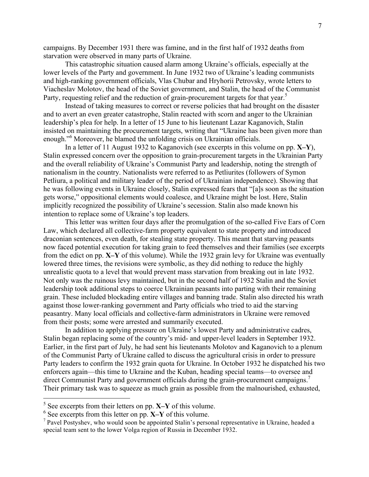campaigns. By December 1931 there was famine, and in the first half of 1932 deaths from starvation were observed in many parts of Ukraine.

This catastrophic situation caused alarm among Ukraine's officials, especially at the lower levels of the Party and government. In June 1932 two of Ukraine's leading communists and high-ranking government officials, Vlas Chubar and Hryhorii Petrovsky, wrote letters to Viacheslav Molotov, the head of the Soviet government, and Stalin, the head of the Communist Party, requesting relief and the reduction of grain-procurement targets for that year.<sup>5</sup>

Instead of taking measures to correct or reverse policies that had brought on the disaster and to avert an even greater catastrophe, Stalin reacted with scorn and anger to the Ukrainian leadership's plea for help. In a letter of 15 June to his lieutenant Lazar Kaganovich, Stalin insisted on maintaining the procurement targets, writing that "Ukraine has been given more than enough."<sup>6</sup> Moreover, he blamed the unfolding crisis on Ukrainian officials.

In a letter of 11 August 1932 to Kaganovich (see excerpts in this volume on pp. **X–Y**), Stalin expressed concern over the opposition to grain-procurement targets in the Ukrainian Party and the overall reliability of Ukraine's Communist Party and leadership, noting the strength of nationalism in the country. Nationalists were referred to as Petliurites (followers of Symon Petliura, a political and military leader of the period of Ukrainian independence). Showing that he was following events in Ukraine closely, Stalin expressed fears that "[a]s soon as the situation gets worse," oppositional elements would coalesce, and Ukraine might be lost. Here, Stalin implicitly recognized the possibility of Ukraine's secession. Stalin also made known his intention to replace some of Ukraine's top leaders.

This letter was written four days after the promulgation of the so-called Five Ears of Corn Law, which declared all collective-farm property equivalent to state property and introduced draconian sentences, even death, for stealing state property. This meant that starving peasants now faced potential execution for taking grain to feed themselves and their families (see excerpts from the edict on pp. **X–Y** of this volume). While the 1932 grain levy for Ukraine was eventually lowered three times, the revisions were symbolic, as they did nothing to reduce the highly unrealistic quota to a level that would prevent mass starvation from breaking out in late 1932. Not only was the ruinous levy maintained, but in the second half of 1932 Stalin and the Soviet leadership took additional steps to coerce Ukrainian peasants into parting with their remaining grain. These included blockading entire villages and banning trade. Stalin also directed his wrath against those lower-ranking government and Party officials who tried to aid the starving peasantry. Many local officials and collective-farm administrators in Ukraine were removed from their posts; some were arrested and summarily executed.

In addition to applying pressure on Ukraine's lowest Party and administrative cadres, Stalin began replacing some of the country's mid- and upper-level leaders in September 1932. Earlier, in the first part of July, he had sent his lieutenants Molotov and Kaganovich to a plenum of the Communist Party of Ukraine called to discuss the agricultural crisis in order to pressure Party leaders to confirm the 1932 grain quota for Ukraine. In October 1932 he dispatched his two enforcers again—this time to Ukraine and the Kuban, heading special teams—to oversee and direct Communist Party and government officials during the grain-procurement campaigns.<sup>7</sup> Their primary task was to squeeze as much grain as possible from the malnourished, exhausted,

 $\frac{5}{6}$  See excerpts from their letters on pp. **X–Y** of this volume.  $\frac{6}{6}$  See excerpts from this letter on pp. **X–Y** of this volume.

 $<sup>7</sup>$  Pavel Postyshev, who would soon be appointed Stalin's personal representative in Ukraine, headed a</sup> special team sent to the lower Volga region of Russia in December 1932.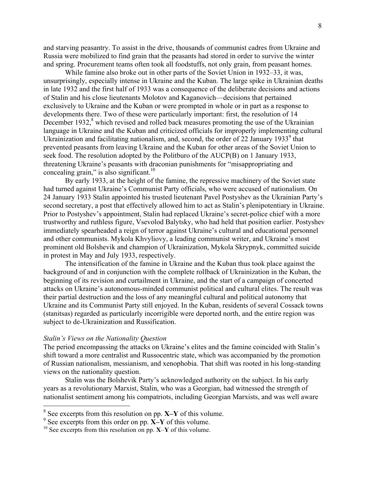and starving peasantry. To assist in the drive, thousands of communist cadres from Ukraine and Russia were mobilized to find grain that the peasants had stored in order to survive the winter and spring. Procurement teams often took all foodstuffs, not only grain, from peasant homes.

While famine also broke out in other parts of the Soviet Union in 1932–33, it was, unsurprisingly, especially intense in Ukraine and the Kuban. The large spike in Ukrainian deaths in late 1932 and the first half of 1933 was a consequence of the deliberate decisions and actions of Stalin and his close lieutenants Molotov and Kaganovich—decisions that pertained exclusively to Ukraine and the Kuban or were prompted in whole or in part as a response to developments there. Two of these were particularly important: first, the resolution of 14 December 1932,<sup>8</sup> which revised and rolled back measures promoting the use of the Ukrainian language in Ukraine and the Kuban and criticized officials for improperly implementing cultural Ukrainization and facilitating nationalism, and, second, the order of 22 January 1933 $^9$  that prevented peasants from leaving Ukraine and the Kuban for other areas of the Soviet Union to seek food. The resolution adopted by the Politburo of the AUCP(B) on 1 January 1933, threatening Ukraine's peasants with draconian punishments for "misappropriating and concealing grain," is also significant. $10$ 

By early 1933, at the height of the famine, the repressive machinery of the Soviet state had turned against Ukraine's Communist Party officials, who were accused of nationalism. On 24 January 1933 Stalin appointed his trusted lieutenant Pavel Postyshev as the Ukrainian Party's second secretary, a post that effectively allowed him to act as Stalin's plenipotentiary in Ukraine. Prior to Postyshev's appointment, Stalin had replaced Ukraine's secret-police chief with a more trustworthy and ruthless figure, Vsevolod Balytsky, who had held that position earlier. Postyshev immediately spearheaded a reign of terror against Ukraine's cultural and educational personnel and other communists. Mykola Khvyliovy, a leading communist writer, and Ukraine's most prominent old Bolshevik and champion of Ukrainization, Mykola Skrypnyk, committed suicide in protest in May and July 1933, respectively.

The intensification of the famine in Ukraine and the Kuban thus took place against the background of and in conjunction with the complete rollback of Ukrainization in the Kuban, the beginning of its revision and curtailment in Ukraine, and the start of a campaign of concerted attacks on Ukraine's autonomous-minded communist political and cultural elites. The result was their partial destruction and the loss of any meaningful cultural and political autonomy that Ukraine and its Communist Party still enjoyed. In the Kuban, residents of several Cossack towns (stanitsas) regarded as particularly incorrigible were deported north, and the entire region was subject to de-Ukrainization and Russification.

# *Stalin's Views on the Nationality Question*

The period encompassing the attacks on Ukraine's elites and the famine coincided with Stalin's shift toward a more centralist and Russocentric state, which was accompanied by the promotion of Russian nationalism, messianism, and xenophobia. That shift was rooted in his long-standing views on the nationality question.

Stalin was the Bolshevik Party's acknowledged authority on the subject. In his early years as a revolutionary Marxist, Stalin, who was a Georgian, had witnessed the strength of nationalist sentiment among his compatriots, including Georgian Marxists, and was well aware

<sup>8</sup> See excerpts from this resolution on pp. **X–Y** of this volume.

 $9^9$  See excerpts from this order on pp.  $\hat{X}$ –**Y** of this volume.

<sup>10</sup> See excerpts from this resolution on pp. **X**–**Y** of this volume.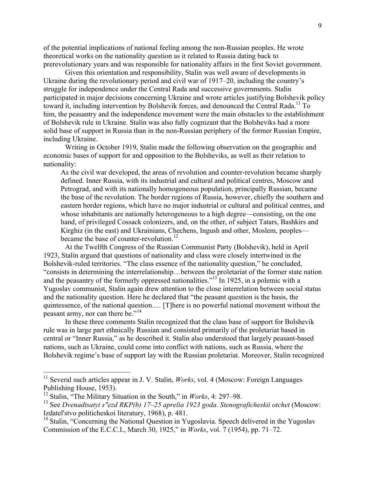of the potential implications of national feeling among the non-Russian peoples. He wrote theoretical works on the nationality question as it related to Russia dating back to prerevolutionary years and was responsible for nationality affairs in the first Soviet government.

Given this orientation and responsibility, Stalin was well aware of developments in Ukraine during the revolutionary period and civil war of 1917–20, including the country's struggle for independence under the Central Rada and successive governments. Stalin participated in major decisions concerning Ukraine and wrote articles justifying Bolshevik policy toward it, including intervention by Bolshevik forces, and denounced the Central Rada.<sup>11</sup> To him, the peasantry and the independence movement were the main obstacles to the establishment of Bolshevik rule in Ukraine. Stalin was also fully cognizant that the Bolsheviks had a more solid base of support in Russia than in the non-Russian periphery of the former Russian Empire, including Ukraine.

Writing in October 1919, Stalin made the following observation on the geographic and economic bases of support for and opposition to the Bolsheviks, as well as their relation to nationality:

As the civil war developed, the areas of revolution and counter-revolution became sharply defined. Inner Russia, with its industrial and cultural and political centres, Moscow and Petrograd, and with its nationally homogeneous population, principally Russian, became the base of the revolution. The border regions of Russia, however, chiefly the southern and eastern border regions, which have no major industrial or cultural and political centres, and whose inhabitants are nationally heterogeneous to a high degree—consisting, on the one hand, of privileged Cossack colonizers, and, on the other, of subject Tatars, Bashkirs and Kirghiz (in the east) and Ukrainians, Chechens, Ingush and other, Moslem, peoples became the base of counter-revolution.<sup>12</sup>

At the Twelfth Congress of the Russian Communist Party (Bolshevik), held in April 1923, Stalin argued that questions of nationality and class were closely intertwined in the Bolshevik-ruled territories. "The class essence of the nationality question," he concluded, "consists in determining the interrelationship…between the proletariat of the former state nation and the peasantry of the formerly oppressed nationalities."<sup>13</sup> In 1925, in a polemic with a Yugoslav communist, Stalin again drew attention to the close interrelation between social status and the nationality question. Here he declared that "the peasant question is the basis, the quintessence, of the national question.… [T]here is no powerful national movement without the peasant army, nor can there be."<sup>14</sup>

In these three comments Stalin recognized that the class base of support for Bolshevik rule was in large part ethnically Russian and consisted primarily of the proletariat based in central or "Inner Russia," as he described it. Stalin also understood that largely peasant-based nations, such as Ukraine, could come into conflict with nations, such as Russia, where the Bolshevik regime's base of support lay with the Russian proletariat. Moreover, Stalin recognized

<sup>&</sup>lt;sup>11</sup> Several such articles appear in J. V. Stalin, *Works*, vol. 4 (Moscow: Foreign Languages Publishing House, 1953).

<sup>12</sup> Stalin, "The Military Situation in the South," in *Works*, 4: 297–98.

<sup>&</sup>lt;sup>13</sup> See Dvenadtsatyi s"ezd RKP(b) 17–25 aprelia 1923 goda. Stenograficheskii otchet (Moscow: Izdatel'stvo politicheskoi literatury, 1968), p. 481.

 $14$  Stalin, "Concerning the National Question in Yugoslavia. Speech delivered in the Yugoslav Commission of the E.C.C.I., March 30, 1925," in *Works*, vol. 7 (1954), pp. 71–72.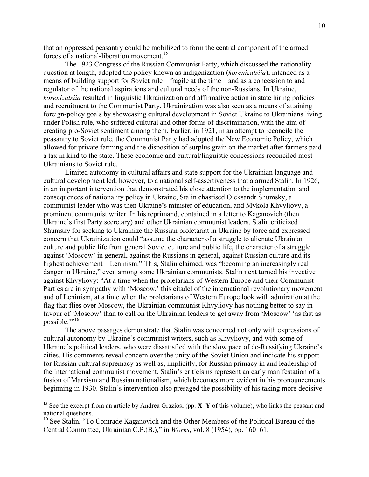that an oppressed peasantry could be mobilized to form the central component of the armed forces of a national-liberation movement.<sup>15</sup>

The 1923 Congress of the Russian Communist Party, which discussed the nationality question at length, adopted the policy known as indigenization (*korenizatsiia*), intended as a means of building support for Soviet rule—fragile at the time—and as a concession to and regulator of the national aspirations and cultural needs of the non-Russians. In Ukraine, *korenizatsiia* resulted in linguistic Ukrainization and affirmative action in state hiring policies and recruitment to the Communist Party. Ukrainization was also seen as a means of attaining foreign-policy goals by showcasing cultural development in Soviet Ukraine to Ukrainians living under Polish rule, who suffered cultural and other forms of discrimination, with the aim of creating pro-Soviet sentiment among them. Earlier, in 1921, in an attempt to reconcile the peasantry to Soviet rule, the Communist Party had adopted the New Economic Policy, which allowed for private farming and the disposition of surplus grain on the market after farmers paid a tax in kind to the state. These economic and cultural/linguistic concessions reconciled most Ukrainians to Soviet rule.

Limited autonomy in cultural affairs and state support for the Ukrainian language and cultural development led, however, to a national self-assertiveness that alarmed Stalin. In 1926, in an important intervention that demonstrated his close attention to the implementation and consequences of nationality policy in Ukraine, Stalin chastised Oleksandr Shumsky, a communist leader who was then Ukraine's minister of education, and Mykola Khvyliovy, a prominent communist writer. In his reprimand, contained in a letter to Kaganovich (then Ukraine's first Party secretary) and other Ukrainian communist leaders, Stalin criticized Shumsky for seeking to Ukrainize the Russian proletariat in Ukraine by force and expressed concern that Ukrainization could "assume the character of a struggle to alienate Ukrainian culture and public life from general Soviet culture and public life, the character of a struggle against 'Moscow' in general, against the Russians in general, against Russian culture and its highest achievement—Leninism." This, Stalin claimed, was "becoming an increasingly real danger in Ukraine," even among some Ukrainian communists. Stalin next turned his invective against Khvyliovy: "At a time when the proletarians of Western Europe and their Communist Parties are in sympathy with 'Moscow,' this citadel of the international revolutionary movement and of Leninism, at a time when the proletarians of Western Europe look with admiration at the flag that flies over Moscow, the Ukrainian communist Khvyliovy has nothing better to say in favour of 'Moscow' than to call on the Ukrainian leaders to get away from 'Moscow' 'as fast as possible."<sup>16</sup>

The above passages demonstrate that Stalin was concerned not only with expressions of cultural autonomy by Ukraine's communist writers, such as Khvyliovy, and with some of Ukraine's political leaders, who were dissatisfied with the slow pace of de-Russifying Ukraine's cities. His comments reveal concern over the unity of the Soviet Union and indicate his support for Russian cultural supremacy as well as, implicitly, for Russian primacy in and leadership of the international communist movement. Stalin's criticisms represent an early manifestation of a fusion of Marxism and Russian nationalism, which becomes more evident in his pronouncements beginning in 1930. Stalin's intervention also presaged the possibility of his taking more decisive

<sup>15</sup> See the excerpt from an article by Andrea Graziosi (pp. **X–Y** of this volume), who links the peasant and national questions.

<sup>&</sup>lt;sup>16</sup> See Stalin, "To Comrade Kaganovich and the Other Members of the Political Bureau of the Central Committee, Ukrainian C.P.(B.)," in *Works*, vol. 8 (1954), pp. 160–61.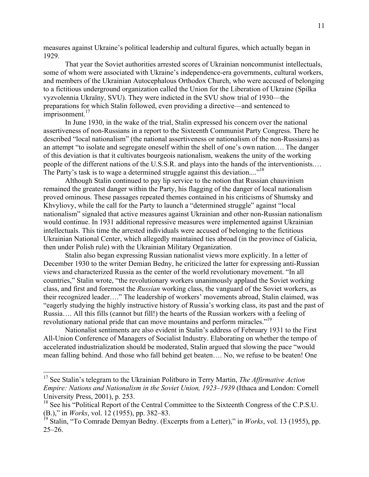measures against Ukraine's political leadership and cultural figures, which actually began in 1929.

That year the Soviet authorities arrested scores of Ukrainian noncommunist intellectuals, some of whom were associated with Ukraine's independence-era governments, cultural workers, and members of the Ukrainian Autocephalous Orthodox Church, who were accused of belonging to a fictitious underground organization called the Union for the Liberation of Ukraine (Spilka vyzvolennia Ukraïny, SVU). They were indicted in the SVU show trial of 1930—the preparations for which Stalin followed, even providing a directive—and sentenced to  $imprisomment.<sup>17</sup>$ 

In June 1930, in the wake of the trial, Stalin expressed his concern over the national assertiveness of non-Russians in a report to the Sixteenth Communist Party Congress. There he described "local nationalism" (the national assertiveness or nationalism of the non-Russians) as an attempt "to isolate and segregate oneself within the shell of one's own nation…. The danger of this deviation is that it cultivates bourgeois nationalism, weakens the unity of the working people of the different nations of the U.S.S.R. and plays into the hands of the interventionists.… The Party's task is to wage a determined struggle against this deviation...."<sup>18</sup>

Although Stalin continued to pay lip service to the notion that Russian chauvinism remained the greatest danger within the Party, his flagging of the danger of local nationalism proved ominous. These passages repeated themes contained in his criticisms of Shumsky and Khvyliovy, while the call for the Party to launch a "determined struggle" against "local nationalism" signaled that active measures against Ukrainian and other non-Russian nationalism would continue. In 1931 additional repressive measures were implemented against Ukrainian intellectuals. This time the arrested individuals were accused of belonging to the fictitious Ukrainian National Center, which allegedly maintained ties abroad (in the province of Galicia, then under Polish rule) with the Ukrainian Military Organization.

Stalin also began expressing Russian nationalist views more explicitly. In a letter of December 1930 to the writer Demian Bedny, he criticized the latter for expressing anti-Russian views and characterized Russia as the center of the world revolutionary movement. "In all countries," Stalin wrote, "the revolutionary workers unanimously applaud the Soviet working class, and first and foremost the *Russian* working class, the vanguard of the Soviet workers, as their recognized leader…." The leadership of workers' movements abroad, Stalin claimed, was "eagerly studying the highly instructive history of Russia's working class, its past and the past of Russia…. All this fills (cannot but fill!) the hearts of the Russian workers with a feeling of revolutionary national pride that can move mountains and perform miracles."<sup>19</sup>

Nationalist sentiments are also evident in Stalin's address of February 1931 to the First All-Union Conference of Managers of Socialist Industry. Elaborating on whether the tempo of accelerated industrialization should be moderated, Stalin argued that slowing the pace "would mean falling behind. And those who fall behind get beaten…. No, we refuse to be beaten! One

<sup>17</sup> See Stalin's telegram to the Ukrainian Politburo in Terry Martin, *The Affirmative Action Empire: Nations and Nationalism in the Soviet Union, 1923–1939* (Ithaca and London: Cornell University Press, 2001), p. 253.

<sup>&</sup>lt;sup>18</sup> See his "Political Report of the Central Committee to the Sixteenth Congress of the C.P.S.U. (B.)," in *Works*, vol. 12 (1955), pp. 382–83.

<sup>19</sup> Stalin, "To Comrade Demyan Bedny. (Excerpts from a Letter)," in *Works*, vol. 13 (1955), pp. 25–26.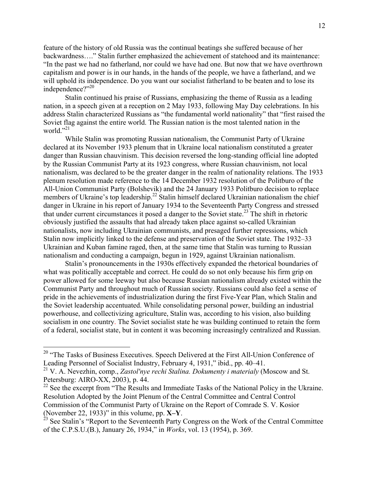feature of the history of old Russia was the continual beatings she suffered because of her backwardness…." Stalin further emphasized the achievement of statehood and its maintenance: "In the past we had no fatherland, nor could we have had one. But now that we have overthrown capitalism and power is in our hands, in the hands of the people, we have a fatherland, and we will uphold its independence. Do you want our socialist fatherland to be beaten and to lose its independence?"<sup>20</sup>

Stalin continued his praise of Russians, emphasizing the theme of Russia as a leading nation, in a speech given at a reception on 2 May 1933, following May Day celebrations. In his address Stalin characterized Russians as "the fundamental world nationality" that "first raised the Soviet flag against the entire world. The Russian nation is the most talented nation in the world. $^{21}$ 

While Stalin was promoting Russian nationalism, the Communist Party of Ukraine declared at its November 1933 plenum that in Ukraine local nationalism constituted a greater danger than Russian chauvinism. This decision reversed the long-standing official line adopted by the Russian Communist Party at its 1923 congress, where Russian chauvinism, not local nationalism, was declared to be the greater danger in the realm of nationality relations. The 1933 plenum resolution made reference to the 14 December 1932 resolution of the Politburo of the All-Union Communist Party (Bolshevik) and the 24 January 1933 Politburo decision to replace members of Ukraine's top leadership.<sup>22</sup> Stalin himself declared Ukrainian nationalism the chief danger in Ukraine in his report of January 1934 to the Seventeenth Party Congress and stressed that under current circumstances it posed a danger to the Soviet state.<sup>23</sup> The shift in rhetoric obviously justified the assaults that had already taken place against so-called Ukrainian nationalists, now including Ukrainian communists, and presaged further repressions, which Stalin now implicitly linked to the defense and preservation of the Soviet state. The 1932–33 Ukrainian and Kuban famine raged, then, at the same time that Stalin was turning to Russian nationalism and conducting a campaign, begun in 1929, against Ukrainian nationalism.

Stalin's pronouncements in the 1930s effectively expanded the rhetorical boundaries of what was politically acceptable and correct. He could do so not only because his firm grip on power allowed for some leeway but also because Russian nationalism already existed within the Communist Party and throughout much of Russian society. Russians could also feel a sense of pride in the achievements of industrialization during the first Five-Year Plan, which Stalin and the Soviet leadership accentuated. While consolidating personal power, building an industrial powerhouse, and collectivizing agriculture, Stalin was, according to his vision, also building socialism in one country. The Soviet socialist state he was building continued to retain the form of a federal, socialist state, but in content it was becoming increasingly centralized and Russian.

<sup>&</sup>lt;sup>20</sup> "The Tasks of Business Executives. Speech Delivered at the First All-Union Conference of Leading Personnel of Socialist Industry, February 4, 1931," ibid., pp. 40–41.

<sup>21</sup> V. A. Nevezhin, comp., *Zastol'nye rechi Stalina. Dokumenty i materialy* (Moscow and St. Petersburg: AIRO-XX, 2003), p. 44.

<sup>&</sup>lt;sup>22</sup> See the excerpt from "The Results and Immediate Tasks of the National Policy in the Ukraine. Resolution Adopted by the Joint Plenum of the Central Committee and Central Control Commission of the Communist Party of Ukraine on the Report of Comrade S. V. Kosior (November 22, 1933)" in this volume, pp. **X–Y**.<br><sup>23</sup> See Stalin's "Report to the Seventeenth Party Congress on the Work of the Central Committee

of the C.P.S.U.(B.), January 26, 1934," in *Works*, vol. 13 (1954), p. 369.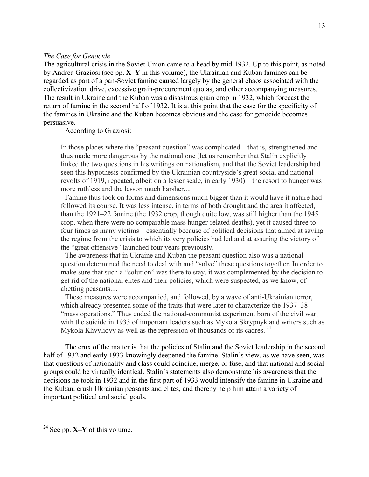# *The Case for Genocide*

The agricultural crisis in the Soviet Union came to a head by mid-1932. Up to this point, as noted by Andrea Graziosi (see pp. **X–Y** in this volume), the Ukrainian and Kuban famines can be regarded as part of a pan-Soviet famine caused largely by the general chaos associated with the collectivization drive, excessive grain-procurement quotas, and other accompanying measures. The result in Ukraine and the Kuban was a disastrous grain crop in 1932, which forecast the return of famine in the second half of 1932. It is at this point that the case for the specificity of the famines in Ukraine and the Kuban becomes obvious and the case for genocide becomes persuasive.

According to Graziosi:

In those places where the "peasant question" was complicated—that is, strengthened and thus made more dangerous by the national one (let us remember that Stalin explicitly linked the two questions in his writings on nationalism, and that the Soviet leadership had seen this hypothesis confirmed by the Ukrainian countryside's great social and national revolts of 1919, repeated, albeit on a lesser scale, in early 1930)—the resort to hunger was more ruthless and the lesson much harsher....

Famine thus took on forms and dimensions much bigger than it would have if nature had followed its course. It was less intense, in terms of both drought and the area it affected, than the 1921–22 famine (the 1932 crop, though quite low, was still higher than the 1945 crop, when there were no comparable mass hunger-related deaths), yet it caused three to four times as many victims—essentially because of political decisions that aimed at saving the regime from the crisis to which its very policies had led and at assuring the victory of the "great offensive" launched four years previously.

The awareness that in Ukraine and Kuban the peasant question also was a national question determined the need to deal with and "solve" these questions together. In order to make sure that such a "solution" was there to stay, it was complemented by the decision to get rid of the national elites and their policies, which were suspected, as we know, of abetting peasants....

These measures were accompanied, and followed, by a wave of anti-Ukrainian terror, which already presented some of the traits that were later to characterize the 1937–38 "mass operations." Thus ended the national-communist experiment born of the civil war, with the suicide in 1933 of important leaders such as Mykola Skrypnyk and writers such as Mykola Khvyliovy as well as the repression of thousands of its cadres.  $^{24}$ 

The crux of the matter is that the policies of Stalin and the Soviet leadership in the second half of 1932 and early 1933 knowingly deepened the famine. Stalin's view, as we have seen, was that questions of nationality and class could coincide, merge, or fuse, and that national and social groups could be virtually identical. Stalin's statements also demonstrate his awareness that the decisions he took in 1932 and in the first part of 1933 would intensify the famine in Ukraine and the Kuban, crush Ukrainian peasants and elites, and thereby help him attain a variety of important political and social goals.

<sup>24</sup> See pp. **X–Y** of this volume.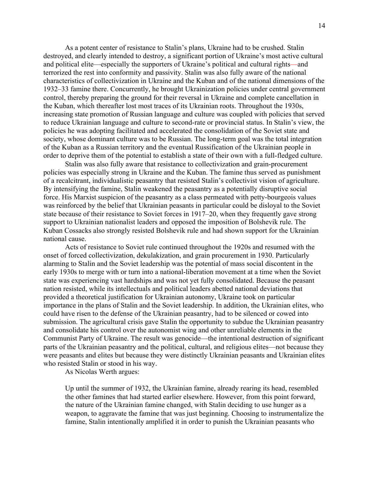As a potent center of resistance to Stalin's plans, Ukraine had to be crushed. Stalin destroyed, and clearly intended to destroy, a significant portion of Ukraine's most active cultural and political elite—especially the supporters of Ukraine's political and cultural rights—and terrorized the rest into conformity and passivity. Stalin was also fully aware of the national characteristics of collectivization in Ukraine and the Kuban and of the national dimensions of the 1932–33 famine there. Concurrently, he brought Ukrainization policies under central government control, thereby preparing the ground for their reversal in Ukraine and complete cancellation in the Kuban, which thereafter lost most traces of its Ukrainian roots. Throughout the 1930s, increasing state promotion of Russian language and culture was coupled with policies that served to reduce Ukrainian language and culture to second-rate or provincial status. In Stalin's view, the policies he was adopting facilitated and accelerated the consolidation of the Soviet state and society, whose dominant culture was to be Russian. The long-term goal was the total integration of the Kuban as a Russian territory and the eventual Russification of the Ukrainian people in order to deprive them of the potential to establish a state of their own with a full-fledged culture.

Stalin was also fully aware that resistance to collectivization and grain-procurement policies was especially strong in Ukraine and the Kuban. The famine thus served as punishment of a recalcitrant, individualistic peasantry that resisted Stalin's collectivist vision of agriculture. By intensifying the famine, Stalin weakened the peasantry as a potentially disruptive social force. His Marxist suspicion of the peasantry as a class permeated with petty-bourgeois values was reinforced by the belief that Ukrainian peasants in particular could be disloyal to the Soviet state because of their resistance to Soviet forces in 1917–20, when they frequently gave strong support to Ukrainian nationalist leaders and opposed the imposition of Bolshevik rule. The Kuban Cossacks also strongly resisted Bolshevik rule and had shown support for the Ukrainian national cause.

Acts of resistance to Soviet rule continued throughout the 1920s and resumed with the onset of forced collectivization, dekulakization, and grain procurement in 1930. Particularly alarming to Stalin and the Soviet leadership was the potential of mass social discontent in the early 1930s to merge with or turn into a national-liberation movement at a time when the Soviet state was experiencing vast hardships and was not yet fully consolidated. Because the peasant nation resisted, while its intellectuals and political leaders abetted national deviations that provided a theoretical justification for Ukrainian autonomy, Ukraine took on particular importance in the plans of Stalin and the Soviet leadership. In addition, the Ukrainian elites, who could have risen to the defense of the Ukrainian peasantry, had to be silenced or cowed into submission. The agricultural crisis gave Stalin the opportunity to subdue the Ukrainian peasantry and consolidate his control over the autonomist wing and other unreliable elements in the Communist Party of Ukraine. The result was genocide—the intentional destruction of significant parts of the Ukrainian peasantry and the political, cultural, and religious elites—not because they were peasants and elites but because they were distinctly Ukrainian peasants and Ukrainian elites who resisted Stalin or stood in his way.

As Nicolas Werth argues:

Up until the summer of 1932, the Ukrainian famine, already rearing its head, resembled the other famines that had started earlier elsewhere. However, from this point forward, the nature of the Ukrainian famine changed, with Stalin deciding to use hunger as a weapon, to aggravate the famine that was just beginning. Choosing to instrumentalize the famine, Stalin intentionally amplified it in order to punish the Ukrainian peasants who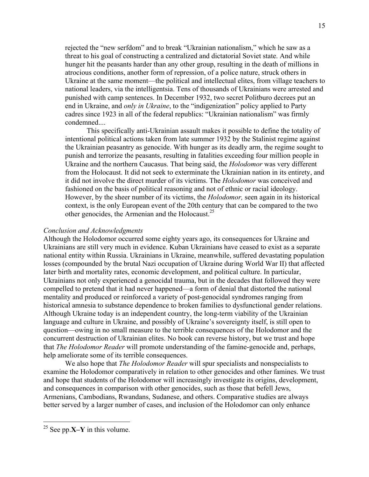rejected the "new serfdom" and to break "Ukrainian nationalism," which he saw as a threat to his goal of constructing a centralized and dictatorial Soviet state. And while hunger hit the peasants harder than any other group, resulting in the death of millions in atrocious conditions, another form of repression, of a police nature, struck others in Ukraine at the same moment—the political and intellectual elites, from village teachers to national leaders, via the intelligentsia. Tens of thousands of Ukrainians were arrested and punished with camp sentences. In December 1932, two secret Politburo decrees put an end in Ukraine, and *only in Ukraine*, to the "indigenization" policy applied to Party cadres since 1923 in all of the federal republics: "Ukrainian nationalism" was firmly condemned....

This specifically anti-Ukrainian assault makes it possible to define the totality of intentional political actions taken from late summer 1932 by the Stalinist regime against the Ukrainian peasantry as genocide. With hunger as its deadly arm, the regime sought to punish and terrorize the peasants, resulting in fatalities exceeding four million people in Ukraine and the northern Caucasus. That being said, the *Holodomor* was very different from the Holocaust. It did not seek to exterminate the Ukrainian nation in its entirety, and it did not involve the direct murder of its victims. The *Holodomor* was conceived and fashioned on the basis of political reasoning and not of ethnic or racial ideology. However, by the sheer number of its victims, the *Holodomor,* seen again in its historical context, is the only European event of the 20th century that can be compared to the two other genocides, the Armenian and the Holocaust.<sup>25</sup>

### *Conclusion and Acknowledgments*

Although the Holodomor occurred some eighty years ago, its consequences for Ukraine and Ukrainians are still very much in evidence. Kuban Ukrainians have ceased to exist as a separate national entity within Russia. Ukrainians in Ukraine, meanwhile, suffered devastating population losses (compounded by the brutal Nazi occupation of Ukraine during World War II) that affected later birth and mortality rates, economic development, and political culture. In particular, Ukrainians not only experienced a genocidal trauma, but in the decades that followed they were compelled to pretend that it had never happened—a form of denial that distorted the national mentality and produced or reinforced a variety of post-genocidal syndromes ranging from historical amnesia to substance dependence to broken families to dysfunctional gender relations. Although Ukraine today is an independent country, the long-term viability of the Ukrainian language and culture in Ukraine, and possibly of Ukraine's sovereignty itself, is still open to question—owing in no small measure to the terrible consequences of the Holodomor and the concurrent destruction of Ukrainian elites. No book can reverse history, but we trust and hope that *The Holodomor Reader* will promote understanding of the famine-genocide and, perhaps, help ameliorate some of its terrible consequences.

We also hope that *The Holodomor Reader* will spur specialists and nonspecialists to examine the Holodomor comparatively in relation to other genocides and other famines. We trust and hope that students of the Holodomor will increasingly investigate its origins, development, and consequences in comparison with other genocides, such as those that befell Jews, Armenians, Cambodians, Rwandans, Sudanese, and others. Comparative studies are always better served by a larger number of cases, and inclusion of the Holodomor can only enhance

<sup>25</sup> See pp.**X–Y** in this volume.